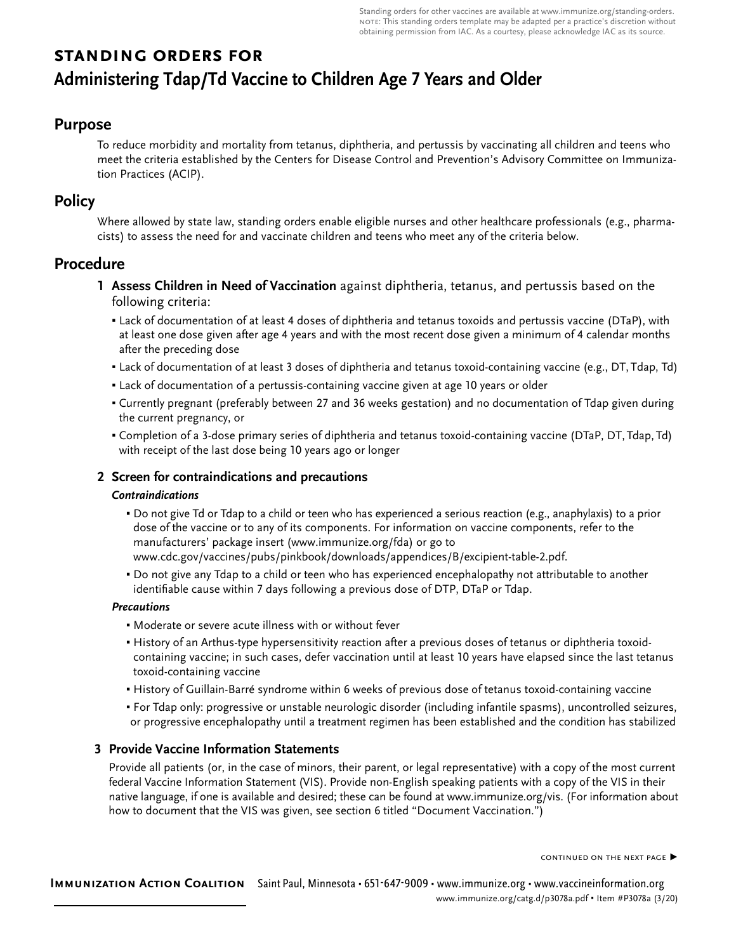# **standing orders for Administering Tdap/Td Vaccine to Children Age 7 Years and Older**

# **Purpose**

To reduce morbidity and mortality from tetanus, diphtheria, and pertussis by vaccinating all children and teens who meet the criteria established by the Centers for Disease Control and Prevention's Advisory Committee on Immunization Practices (ACIP).

# **Policy**

Where allowed by state law, standing orders enable eligible nurses and other healthcare professionals (e.g., pharmacists) to assess the need for and vaccinate children and teens who meet any of the criteria below.

# **Procedure**

- **1 Assess Children in Need of Vaccination** against diphtheria, tetanus, and pertussis based on the following criteria:
	- Lack of documentation of at least 4 doses of diphtheria and tetanus toxoids and pertussis vaccine (DTaP), with at least one dose given after age 4 years and with the most recent dose given a minimum of 4 calendar months after the preceding dose
	- Lack of documentation of at least 3 doses of diphtheria and tetanus toxoid-containing vaccine (e.g., DT, Tdap, Td)
	- Lack of documentation of a pertussis-containing vaccine given at age 10 years or older
	- Currently pregnant (preferably between 27 and 36 weeks gestation) and no documentation of Tdap given during the current pregnancy, or
	- Completion of a 3-dose primary series of diphtheria and tetanus toxoid-containing vaccine (DTaP, DT, Tdap, Td) with receipt of the last dose being 10 years ago or longer

# **2 Screen for contraindications and precautions**

#### *Contraindications*

- Do not give Td or Tdap to a child or teen who has experienced a serious reaction (e.g., anaphylaxis) to a prior dose of the vaccine or to any of its components. For information on vaccine components, refer to the manufacturers' package insert (www.immunize.org/fda) or go to www.cdc.gov/vaccines/pubs/pinkbook/downloads/appendices/B/excipient-table-2.pdf.
- Do not give any Tdap to a child or teen who has experienced encephalopathy not attributable to another identifiable cause within 7 days following a previous dose of DTP, DTaP or Tdap.

# *Precautions*

- Moderate or severe acute illness with or without fever
- History of an Arthus-type hypersensitivity reaction after a previous doses of tetanus or diphtheria toxoidcontaining vaccine; in such cases, defer vaccination until at least 10 years have elapsed since the last tetanus toxoid-containing vaccine
- History of Guillain-Barré syndrome within 6 weeks of previous dose of tetanus toxoid-containing vaccine
- For Tdap only: progressive or unstable neurologic disorder (including infantile spasms), uncontrolled seizures, or progressive encephalopathy until a treatment regimen has been established and the condition has stabilized

# **3 Provide Vaccine Information Statements**

Provide all patients (or, in the case of minors, their parent, or legal representative) with a copy of the most current federal Vaccine Information Statement (VIS). Provide non-English speaking patients with a copy of the VIS in their native language, if one is available and desired; these can be found at www.immunize.org/vis. (For information about how to document that the VIS was given, see section 6 titled "Document Vaccination.")

continued on the next page ▶

**Immunization Action Coalition** Saint Paul, Minnesota • 651-647-9009 • www.immunize.org • www.vaccineinformation.org www.immunize.org/catg.d/p3078a.pdf • Item #P3078a (3/20)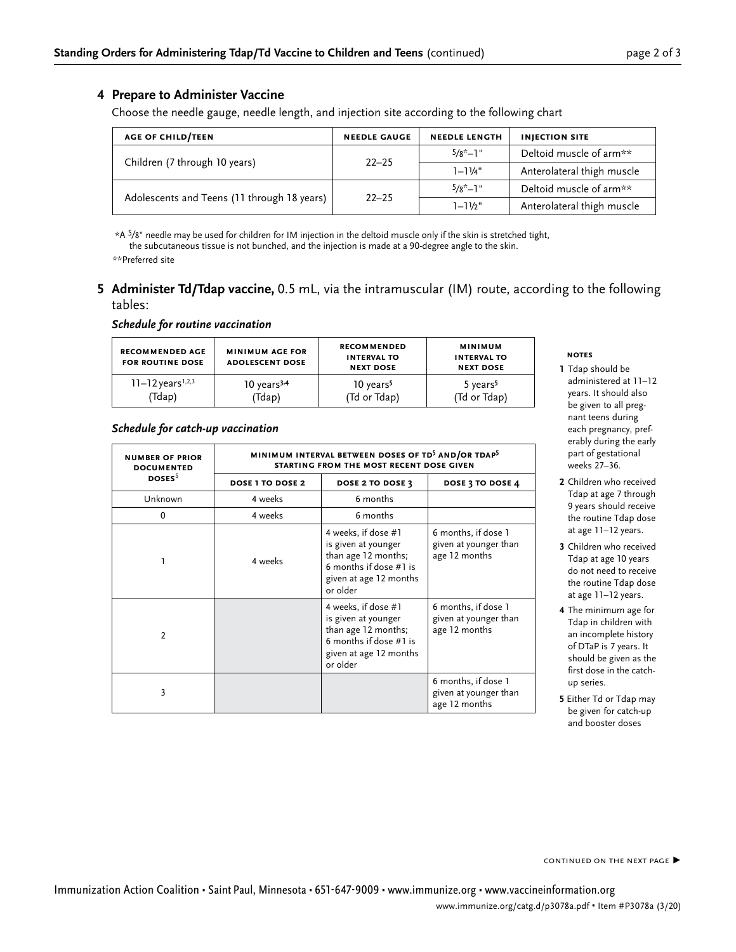#### **4 Prepare to Administer Vaccine**

Choose the needle gauge, needle length, and injection site according to the following chart

| <b>AGE OF CHILD/TEEN</b>                    | <b>NEEDLE GAUGE</b> | <b>NEEDLE LENGTH</b> | <b>INJECTION SITE</b>      |
|---------------------------------------------|---------------------|----------------------|----------------------------|
|                                             | $22 - 25$           | $5/8^*$ -1"          | Deltoid muscle of arm**    |
| Children (7 through 10 years)               |                     | $1 - 1\frac{1}{4}$   | Anterolateral thigh muscle |
|                                             | $22 - 25$           | $5/8^*$ -1"          | Deltoid muscle of arm**    |
| Adolescents and Teens (11 through 18 years) |                     | $1 - 1\frac{1}{2}$ " | Anterolateral thigh muscle |

\*A 5⁄8" needle may be used for children for IM injection in the deltoid muscle only if the skin is stretched tight,

the subcutaneous tissue is not bunched, and the injection is made at a 90-degree angle to the skin.

\*\*Preferred site

**5 Administer Td/Tdap vaccine,** 0.5 mL, via the intramuscular (IM) route, according to the following tables:

#### *Schedule for routine vaccination*

| <b>RECOMMENDED AGE</b><br><b>FOR ROUTINE DOSE</b> | <b>MINIMUM AGE FOR</b><br><b>ADOLESCENT DOSE</b> | <b>RECOMMENDED</b><br><b>INTERVAL TO</b><br><b>NEXT DOSE</b> | <b>MINIMUM</b><br><b>INTERVAL TO</b><br><b>NEXT DOSE</b> |
|---------------------------------------------------|--------------------------------------------------|--------------------------------------------------------------|----------------------------------------------------------|
| $11 - 12$ years <sup>1,2,3</sup>                  | $10$ years <sup>3,4</sup>                        | 10 years <sup>5</sup>                                        | 5 years <sup>5</sup>                                     |
| (Tdap)                                            | (Tdap)                                           | (Td or Tdap)                                                 | (Td or Tdap)                                             |

#### *Schedule for catch-up vaccination*

| <b>NUMBER OF PRIOR</b><br><b>DOCUMENTED</b> | MINIMUM INTERVAL BETWEEN DOSES OF TD <sup>5</sup> AND/OR TDAP <sup>5</sup><br>STARTING FROM THE MOST RECENT DOSE GIVEN |                                                                                                                                   |                                                               |  |
|---------------------------------------------|------------------------------------------------------------------------------------------------------------------------|-----------------------------------------------------------------------------------------------------------------------------------|---------------------------------------------------------------|--|
| DOSES <sup>5</sup>                          | <b>DOSE 1 TO DOSE 2</b>                                                                                                | DOSE 2 TO DOSE 3                                                                                                                  | DOSE 3 TO DOSE 4                                              |  |
| Unknown                                     | 4 weeks                                                                                                                | 6 months                                                                                                                          |                                                               |  |
| $\Omega$                                    | 4 weeks                                                                                                                | 6 months                                                                                                                          |                                                               |  |
| 1                                           | 4 weeks                                                                                                                | 4 weeks, if dose #1<br>is given at younger<br>than age 12 months;<br>6 months if dose #1 is<br>given at age 12 months<br>or older | 6 months, if dose 1<br>given at younger than<br>age 12 months |  |
| $\mathcal{P}$                               |                                                                                                                        | 4 weeks, if dose #1<br>is given at younger<br>than age 12 months;<br>6 months if dose #1 is<br>given at age 12 months<br>or older | 6 months, if dose 1<br>given at younger than<br>age 12 months |  |
| 3                                           |                                                                                                                        |                                                                                                                                   | 6 months, if dose 1<br>given at younger than<br>age 12 months |  |

#### **notes**

- **1** Tdap should be administered at 11–12 years. It should also be given to all pregnant teens during each pregnancy, preferably during the early part of gestational weeks 27–36.
- **2** Children who received Tdap at age 7 through 9 years should receive the routine Tdap dose at age 11–12 years.
- **3** Children who received Tdap at age 10 years do not need to receive the routine Tdap dose at age 11–12 years.
- **4** The minimum age for Tdap in children with an incomplete history of DTaP is 7 years. It should be given as the first dose in the catchup series.
- **5** Either Td or Tdap may be given for catch-up and booster doses

CONTINUED ON THE NEXT PAGE ▶